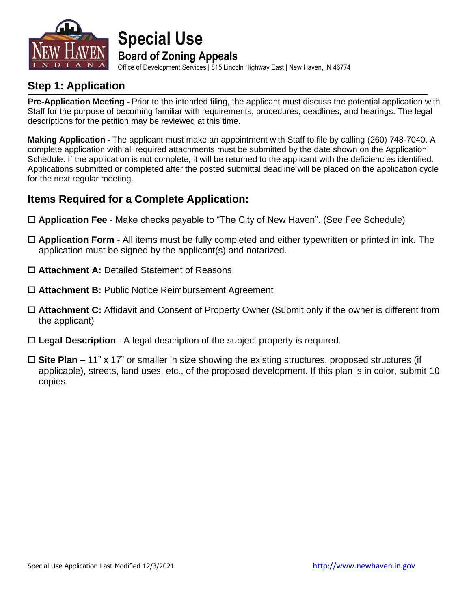

### **Special Use Board of Zoning Appeals**

Office of Development Services | 815 Lincoln Highway East | New Haven, IN 46774

### **Step 1: Application**

**Pre-Application Meeting -** Prior to the intended filing, the applicant must discuss the potential application with Staff for the purpose of becoming familiar with requirements, procedures, deadlines, and hearings. The legal descriptions for the petition may be reviewed at this time.

**Making Application -** The applicant must make an appointment with Staff to file by calling (260) 748-7040. A complete application with all required attachments must be submitted by the date shown on the Application Schedule. If the application is not complete, it will be returned to the applicant with the deficiencies identified. Applications submitted or completed after the posted submittal deadline will be placed on the application cycle for the next regular meeting.

### **Items Required for a Complete Application:**

- **Application Fee** Make checks payable to "The City of New Haven". (See Fee Schedule)
- **Application Form** All items must be fully completed and either typewritten or printed in ink. The application must be signed by the applicant(s) and notarized.
- **Attachment A:** Detailed Statement of Reasons
- **Attachment B:** Public Notice Reimbursement Agreement
- **Attachment C:** Affidavit and Consent of Property Owner (Submit only if the owner is different from the applicant)
- **Legal Description** A legal description of the subject property is required.
- **Site Plan –** 11" x 17" or smaller in size showing the existing structures, proposed structures (if applicable), streets, land uses, etc., of the proposed development. If this plan is in color, submit 10 copies.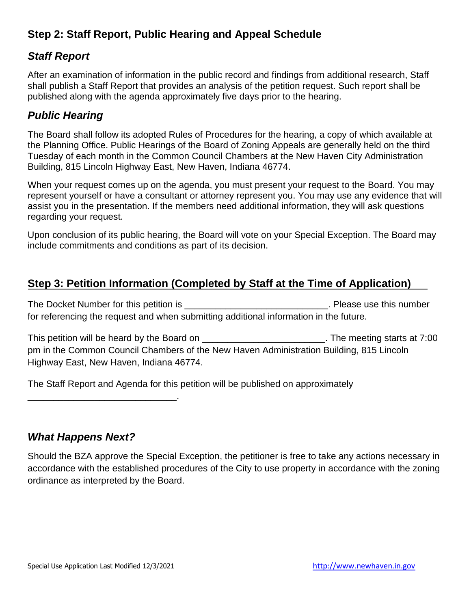### *Staff Report*

After an examination of information in the public record and findings from additional research, Staff shall publish a Staff Report that provides an analysis of the petition request. Such report shall be published along with the agenda approximately five days prior to the hearing.

### *Public Hearing*

The Board shall follow its adopted Rules of Procedures for the hearing, a copy of which available at the Planning Office. Public Hearings of the Board of Zoning Appeals are generally held on the third Tuesday of each month in the Common Council Chambers at the New Haven City Administration Building, 815 Lincoln Highway East, New Haven, Indiana 46774.

When your request comes up on the agenda, you must present your request to the Board. You may represent yourself or have a consultant or attorney represent you. You may use any evidence that will assist you in the presentation. If the members need additional information, they will ask questions regarding your request.

Upon conclusion of its public hearing, the Board will vote on your Special Exception. The Board may include commitments and conditions as part of its decision.

### **Step 3: Petition Information (Completed by Staff at the Time of Application)**

The Docket Number for this petition is \_\_\_\_\_\_\_\_\_\_\_\_\_\_\_\_\_\_\_\_\_\_\_\_\_\_\_\_\_\_\_\_\_. Please use this number for referencing the request and when submitting additional information in the future.

This petition will be heard by the Board on \_\_\_\_\_\_\_\_\_\_\_\_\_\_\_\_\_\_\_\_\_\_\_\_\_\_. The meeting starts at 7:00 pm in the Common Council Chambers of the New Haven Administration Building, 815 Lincoln Highway East, New Haven, Indiana 46774.

The Staff Report and Agenda for this petition will be published on approximately

#### *What Happens Next?*

\_\_\_\_\_\_\_\_\_\_\_\_\_\_\_\_\_\_\_\_\_\_\_\_\_\_\_\_\_.

Should the BZA approve the Special Exception, the petitioner is free to take any actions necessary in accordance with the established procedures of the City to use property in accordance with the zoning ordinance as interpreted by the Board.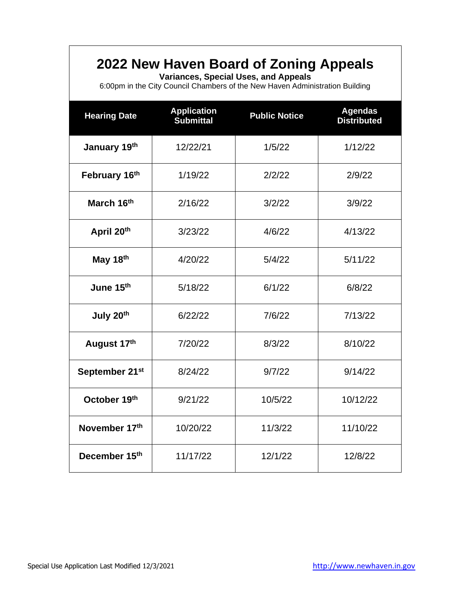### **2022 New Haven Board of Zoning Appeals**

**Variances, Special Uses, and Appeals**

6:00pm in the City Council Chambers of the New Haven Administration Building

| <b>Hearing Date</b>        | <b>Application</b><br><b>Submittal</b> | <b>Public Notice</b> | <b>Agendas</b><br><b>Distributed</b> |  |
|----------------------------|----------------------------------------|----------------------|--------------------------------------|--|
| January 19th               | 12/22/21                               | 1/5/22               | 1/12/22                              |  |
| February 16th              | 1/19/22                                | 2/2/22               | 2/9/22                               |  |
| March 16th                 | 2/16/22                                | 3/2/22               | 3/9/22                               |  |
| April 20th                 | 3/23/22                                | 4/6/22               | 4/13/22                              |  |
| May 18th                   | 4/20/22                                | 5/4/22               | 5/11/22                              |  |
| June 15th                  | 5/18/22                                | 6/1/22               | 6/8/22                               |  |
| July 20th                  | 6/22/22                                | 7/6/22               | 7/13/22                              |  |
| August 17th                | 7/20/22                                | 8/3/22               | 8/10/22                              |  |
| September 21 <sup>st</sup> | 8/24/22                                | 9/7/22               | 9/14/22                              |  |
| October 19th               | 9/21/22                                | 10/5/22              | 10/12/22                             |  |
| November 17th              | 10/20/22                               | 11/3/22              | 11/10/22                             |  |
| December 15th              | 11/17/22                               | 12/1/22<br>12/8/22   |                                      |  |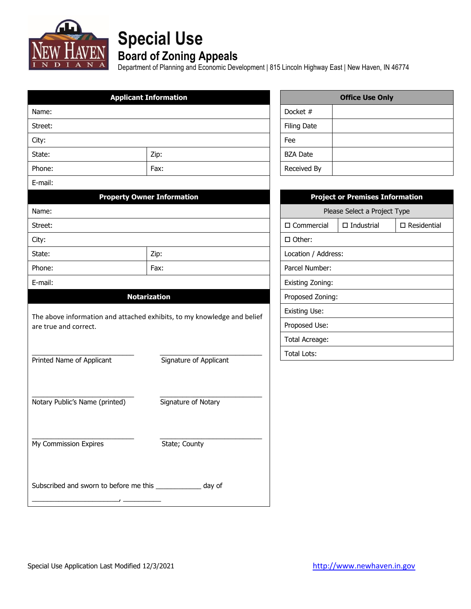

# **Special Use**

### **Board of Zoning Appeals**

Department of Planning and Economic Development | 815 Lincoln Highway East | New Haven, IN 46774

|                                                              | <b>Applicant Information</b>                                            |                    |                      | <b>Office Use Only</b>                 |                       |
|--------------------------------------------------------------|-------------------------------------------------------------------------|--------------------|----------------------|----------------------------------------|-----------------------|
| Name:                                                        |                                                                         |                    | Docket #             |                                        |                       |
| Street:                                                      |                                                                         |                    | <b>Filing Date</b>   |                                        |                       |
| City:                                                        |                                                                         |                    | Fee                  |                                        |                       |
| State:                                                       | Zip:                                                                    |                    | <b>BZA Date</b>      |                                        |                       |
| Phone:                                                       | Fax:                                                                    |                    | Received By          |                                        |                       |
| E-mail:                                                      |                                                                         |                    |                      |                                        |                       |
|                                                              | <b>Property Owner Information</b>                                       |                    |                      | <b>Project or Premises Information</b> |                       |
| Name:                                                        |                                                                         |                    |                      | Please Select a Project Type           |                       |
| Street:                                                      |                                                                         |                    | $\square$ Commercial | $\square$ Industrial                   | $\square$ Residential |
| City:                                                        |                                                                         |                    | $\Box$ Other:        |                                        |                       |
| State:                                                       | Zip:                                                                    |                    | Location / Address:  |                                        |                       |
| Phone:                                                       | Fax:                                                                    |                    | Parcel Number:       |                                        |                       |
| E-mail:                                                      |                                                                         |                    | Existing Zoning:     |                                        |                       |
|                                                              | <b>Notarization</b>                                                     |                    | Proposed Zoning:     |                                        |                       |
|                                                              |                                                                         |                    | Existing Use:        |                                        |                       |
| are true and correct.                                        | The above information and attached exhibits, to my knowledge and belief |                    | Proposed Use:        |                                        |                       |
|                                                              |                                                                         |                    | Total Acreage:       |                                        |                       |
|                                                              |                                                                         | <b>Total Lots:</b> |                      |                                        |                       |
| Printed Name of Applicant                                    | Signature of Applicant                                                  |                    |                      |                                        |                       |
|                                                              |                                                                         |                    |                      |                                        |                       |
|                                                              |                                                                         |                    |                      |                                        |                       |
| Notary Public's Name (printed)                               | Signature of Notary                                                     |                    |                      |                                        |                       |
|                                                              |                                                                         |                    |                      |                                        |                       |
|                                                              |                                                                         |                    |                      |                                        |                       |
| My Commission Expires                                        | State; County                                                           |                    |                      |                                        |                       |
|                                                              |                                                                         |                    |                      |                                        |                       |
|                                                              |                                                                         |                    |                      |                                        |                       |
| Subscribed and sworn to before me this ______________ day of |                                                                         |                    |                      |                                        |                       |
|                                                              |                                                                         |                    |                      |                                        |                       |

| <b>Office Use Only</b> |  |  |  |
|------------------------|--|--|--|
| Docket #               |  |  |  |
| <b>Filing Date</b>     |  |  |  |
| Fee                    |  |  |  |
| <b>BZA Date</b>        |  |  |  |
| Received By            |  |  |  |

| <b>Project or Premises Information</b> |                                            |  |  |  |
|----------------------------------------|--------------------------------------------|--|--|--|
| Please Select a Project Type           |                                            |  |  |  |
| $\Box$ Commercial                      | $\Box$ Residential<br>$\square$ Industrial |  |  |  |
| $\Box$ Other:                          |                                            |  |  |  |
| Location / Address:                    |                                            |  |  |  |
| Parcel Number:                         |                                            |  |  |  |
| Existing Zoning:                       |                                            |  |  |  |
| Proposed Zoning:                       |                                            |  |  |  |
| Existing Use:                          |                                            |  |  |  |
| Proposed Use:                          |                                            |  |  |  |
| Total Acreage:                         |                                            |  |  |  |
| Total Lots:                            |                                            |  |  |  |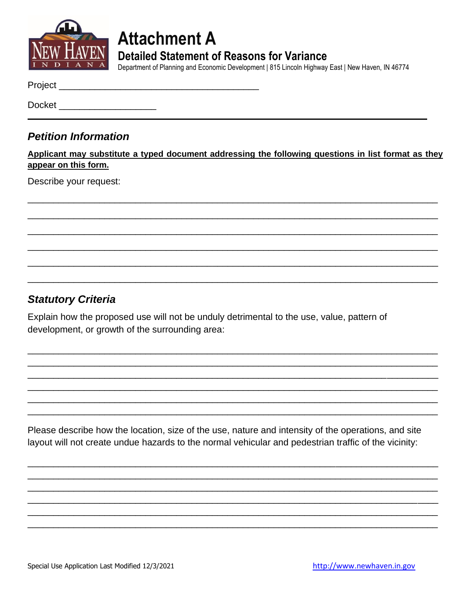

**Attachment A Detailed Statement of Reasons for Variance** 

Department of Planning and Economic Development | 815 Lincoln Highway East | New Haven, IN 46774

Docket **Docket** 

### **Petition Information**

Applicant may substitute a typed document addressing the following questions in list format as they appear on this form.

Describe your request:

### **Statutory Criteria**

Explain how the proposed use will not be unduly detrimental to the use, value, pattern of development, or growth of the surrounding area:

Please describe how the location, size of the use, nature and intensity of the operations, and site layout will not create undue hazards to the normal vehicular and pedestrian traffic of the vicinity: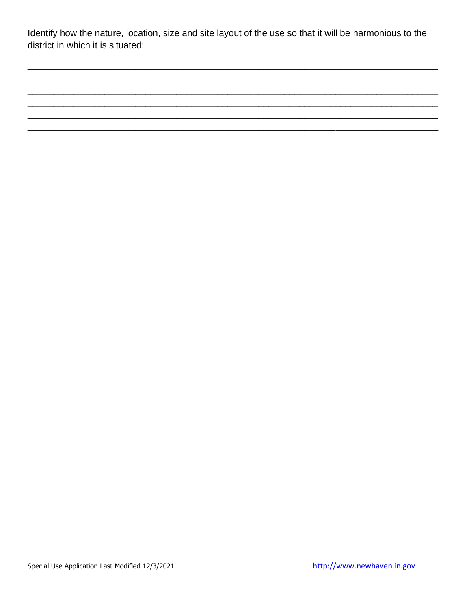Identify how the nature, location, size and site layout of the use so that it will be harmonious to the district in which it is situated: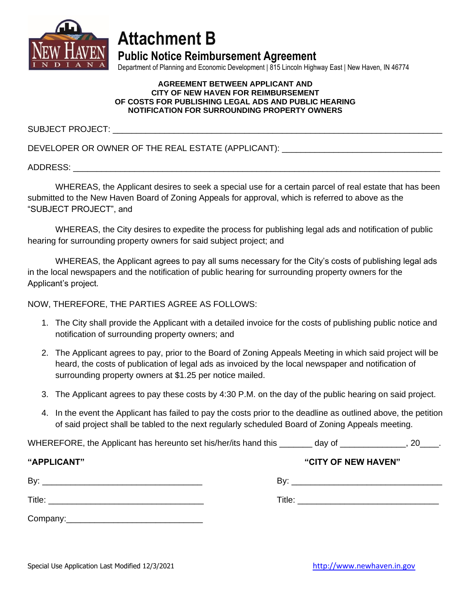

## **Attachment B**

**Public Notice Reimbursement Agreement**

Department of Planning and Economic Development | 815 Lincoln Highway East | New Haven, IN 46774

#### **AGREEMENT BETWEEN APPLICANT AND CITY OF NEW HAVEN FOR REIMBURSEMENT OF COSTS FOR PUBLISHING LEGAL ADS AND PUBLIC HEARING NOTIFICATION FOR SURROUNDING PROPERTY OWNERS**

SUBJECT PROJECT:

DEVELOPER OR OWNER OF THE REAL ESTATE (APPLICANT): \_\_\_\_\_\_\_\_\_\_\_\_\_\_\_\_\_\_\_\_\_\_\_\_\_\_\_\_\_

ADDRESS: \_\_\_\_\_\_\_\_\_\_\_\_\_\_\_\_\_\_\_\_\_\_\_\_\_\_\_\_\_\_\_\_\_\_\_\_\_\_\_\_\_\_\_\_\_\_\_\_\_\_\_\_\_\_\_\_\_\_\_\_\_\_\_\_\_\_\_\_\_\_\_\_\_\_\_\_\_\_

WHEREAS, the Applicant desires to seek a special use for a certain parcel of real estate that has been submitted to the New Haven Board of Zoning Appeals for approval, which is referred to above as the "SUBJECT PROJECT", and

WHEREAS, the City desires to expedite the process for publishing legal ads and notification of public hearing for surrounding property owners for said subject project; and

WHEREAS, the Applicant agrees to pay all sums necessary for the City's costs of publishing legal ads in the local newspapers and the notification of public hearing for surrounding property owners for the Applicant's project.

NOW, THEREFORE, THE PARTIES AGREE AS FOLLOWS:

- 1. The City shall provide the Applicant with a detailed invoice for the costs of publishing public notice and notification of surrounding property owners; and
- 2. The Applicant agrees to pay, prior to the Board of Zoning Appeals Meeting in which said project will be heard, the costs of publication of legal ads as invoiced by the local newspaper and notification of surrounding property owners at \$1.25 per notice mailed.
- 3. The Applicant agrees to pay these costs by 4:30 P.M. on the day of the public hearing on said project.
- 4. In the event the Applicant has failed to pay the costs prior to the deadline as outlined above, the petition of said project shall be tabled to the next regularly scheduled Board of Zoning Appeals meeting.

WHEREFORE, the Applicant has hereunto set his/her/its hand this \_\_\_\_\_\_\_ day of \_\_\_\_\_\_\_\_\_\_\_\_\_\_\_, 20\_\_\_\_.

| "APPLICANT" | "CITY OF NEW HAVEN"                                                                                                  |
|-------------|----------------------------------------------------------------------------------------------------------------------|
| By:         | By:                                                                                                                  |
|             |                                                                                                                      |
| Title:      | Title:                                                                                                               |
|             | <u> 1980 - Jan Stein Stein Stein Stein Stein Stein Stein Stein Stein Stein Stein Stein Stein Stein Stein Stein S</u> |
| Company:    |                                                                                                                      |

Special Use Application Last Modified 12/3/2021 [http://www.newhaven.in.gov](http://www.newhaven.in.gov/)